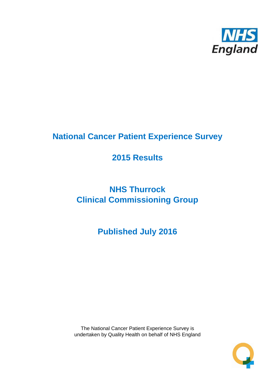

# **National Cancer Patient Experience Survey**

# **2015 Results**

# **NHS Thurrock Clinical Commissioning Group**

**Published July 2016**

The National Cancer Patient Experience Survey is undertaken by Quality Health on behalf of NHS England

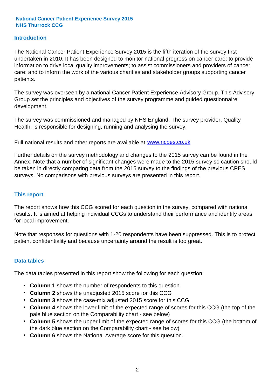### **Introduction**

The National Cancer Patient Experience Survey 2015 is the fifth iteration of the survey first undertaken in 2010. It has been designed to monitor national progress on cancer care; to provide information to drive local quality improvements; to assist commissioners and providers of cancer care; and to inform the work of the various charities and stakeholder groups supporting cancer patients.

The survey was overseen by a national Cancer Patient Experience Advisory Group. This Advisory Group set the principles and objectives of the survey programme and guided questionnaire development.

The survey was commissioned and managed by NHS England. The survey provider, Quality Health, is responsible for designing, running and analysing the survey.

Full national results and other reports are available at www.ncpes.co.uk

Further details on the survey methodology and changes to the 2015 survey can be found in the Annex. Note that a number of significant changes were made to the 2015 survey so caution should be taken in directly comparing data from the 2015 survey to the findings of the previous CPES surveys. No comparisons with previous surveys are presented in this report.

#### **This report**

The report shows how this CCG scored for each question in the survey, compared with national results. It is aimed at helping individual CCGs to understand their performance and identify areas for local improvement.

Note that responses for questions with 1-20 respondents have been suppressed. This is to protect patient confidentiality and because uncertainty around the result is too great.

#### **Data tables**

The data tables presented in this report show the following for each question:

- **Column 1** shows the number of respondents to this question
- **Column 2** shows the unadjusted 2015 score for this CCG
- **Column 3** shows the case-mix adjusted 2015 score for this CCG
- **Column 4** shows the lower limit of the expected range of scores for this CCG (the top of the pale blue section on the Comparability chart - see below)
- **Column 5** shows the upper limit of the expected range of scores for this CCG (the bottom of the dark blue section on the Comparability chart - see below)
- **Column 6** shows the National Average score for this question.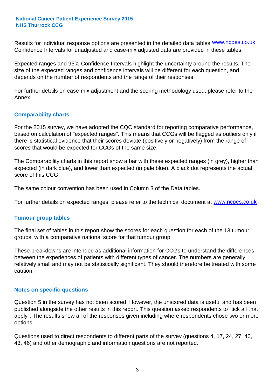Results for individual response options are presented in the detailed data tables **WWW.ncpes.co.uk** Confidence Intervals for unadjusted and case-mix adjusted data are provided in these tables.

Expected ranges and 95% Confidence Intervals highlight the uncertainty around the results. The size of the expected ranges and confidence intervals will be different for each question, and depends on the number of respondents and the range of their responses.

For further details on case-mix adjustment and the scoring methodology used, please refer to the Annex.

#### **Comparability charts**

For the 2015 survey, we have adopted the CQC standard for reporting comparative performance, based on calculation of "expected ranges". This means that CCGs will be flagged as outliers only if there is statistical evidence that their scores deviate (positively or negatively) from the range of scores that would be expected for CCGs of the same size.

The Comparability charts in this report show a bar with these expected ranges (in grey), higher than expected (in dark blue), and lower than expected (in pale blue). A black dot represents the actual score of this CCG.

The same colour convention has been used in Column 3 of the Data tables.

For further details on expected ranges, please refer to the technical document at **www.ncpes.co.uk** 

#### **Tumour group tables**

The final set of tables in this report show the scores for each question for each of the 13 tumour groups, with a comparative national score for that tumour group.

These breakdowns are intended as additional information for CCGs to understand the differences between the experiences of patients with different types of cancer. The numbers are generally relatively small and may not be statistically significant. They should therefore be treated with some caution.

#### **Notes on specific questions**

Question 5 in the survey has not been scored. However, the unscored data is useful and has been published alongside the other results in this report. This question asked respondents to "tick all that apply". The results show all of the responses given including where respondents chose two or more options.

Questions used to direct respondents to different parts of the survey (questions 4, 17, 24, 27, 40, 43, 46) and other demographic and information questions are not reported.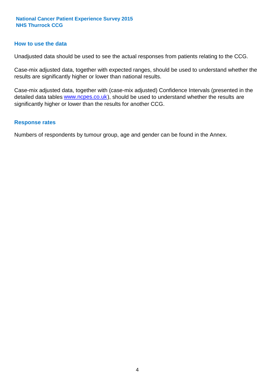#### **How to use the data**

Unadjusted data should be used to see the actual responses from patients relating to the CCG.

Case-mix adjusted data, together with expected ranges, should be used to understand whether the results are significantly higher or lower than national results.

Case-mix adjusted data, together with (case-mix adjusted) Confidence Intervals (presented in the detailed data tables **www.ncpes.co.uk**), should be used to understand whether the results are significantly higher or lower than the results for another CCG.

#### **Response rates**

Numbers of respondents by tumour group, age and gender can be found in the Annex.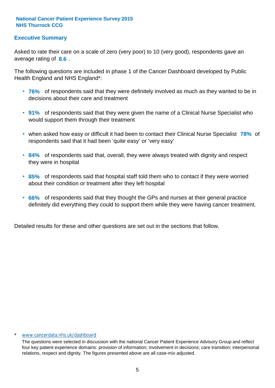### **Executive Summary**

average rating of 8.6. Asked to rate their care on a scale of zero (very poor) to 10 (very good), respondents gave an

The following questions are included in phase 1 of the Cancer Dashboard developed by Public Health England and NHS England\*:

- **76%** of respondents said that they were definitely involved as much as they wanted to be in decisions about their care and treatment
- **91%** of respondents said that they were given the name of a Clinical Nurse Specialist who would support them through their treatment
- when asked how easy or difficult it had been to contact their Clinical Nurse Specialist 78% of respondents said that it had been 'quite easy' or 'very easy'
- **84%** of respondents said that, overall, they were always treated with dignity and respect they were in hospital
- **85%** of respondents said that hospital staff told them who to contact if they were worried about their condition or treatment after they left hospital
- **66%** of respondents said that they thought the GPs and nurses at their general practice definitely did everything they could to support them while they were having cancer treatment.

Detailed results for these and other questions are set out in the sections that follow.

#### \* www.cancerdata.nhs.uk/dashboard

The questions were selected in discussion with the national Cancer Patient Experience Advisory Group and reflect four key patient experience domains: provision of information; involvement in decisions; care transition; interpersonal relations, respect and dignity. The figures presented above are all case-mix adjusted.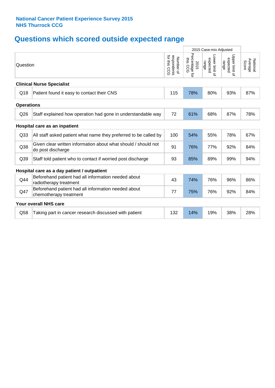# **Questions which scored outside expected range**

|                   |                                                                                     |                                          | 2015 Case-mix Adjusted                |                                     |                                     |                              |
|-------------------|-------------------------------------------------------------------------------------|------------------------------------------|---------------------------------------|-------------------------------------|-------------------------------------|------------------------------|
| Question          |                                                                                     | respondents<br>for this CCG<br>Number of | Percentage for<br>this<br>2015<br>င်င | Lower limit of<br>expected<br>range | Upper limit of<br>expected<br>range | Average<br>National<br>Score |
|                   | <b>Clinical Nurse Specialist</b>                                                    |                                          |                                       |                                     |                                     |                              |
| Q18               | Patient found it easy to contact their CNS                                          | 115                                      | 78%                                   | 80%                                 | 93%                                 | 87%                          |
| <b>Operations</b> |                                                                                     |                                          |                                       |                                     |                                     |                              |
| Q <sub>26</sub>   | Staff explained how operation had gone in understandable way                        | 72                                       | 61%                                   | 68%                                 | 87%                                 | 78%                          |
|                   | Hospital care as an inpatient                                                       |                                          |                                       |                                     |                                     |                              |
| Q <sub>33</sub>   | All staff asked patient what name they preferred to be called by                    | 100                                      | 54%                                   | 55%                                 | 78%                                 | 67%                          |
| Q38               | Given clear written information about what should / should not<br>do post discharge | 91                                       | 76%                                   | 77%                                 | 92%                                 | 84%                          |
| Q <sub>39</sub>   | Staff told patient who to contact if worried post discharge                         | 93                                       | 85%                                   | 89%                                 | 99%                                 | 94%                          |
|                   | Hospital care as a day patient / outpatient                                         |                                          |                                       |                                     |                                     |                              |
| Q44               | Beforehand patient had all information needed about<br>radiotherapy treatment       | 43                                       | 74%                                   | 76%                                 | 96%                                 | 86%                          |
| Q47               | Beforehand patient had all information needed about<br>chemotherapy treatment       | 77                                       | 75%                                   | 76%                                 | 92%                                 | 84%                          |
|                   | Your overall NHS care                                                               |                                          |                                       |                                     |                                     |                              |
| Q58               | Taking part in cancer research discussed with patient                               | 132                                      | 14%                                   | 19%                                 | 38%                                 | 28%                          |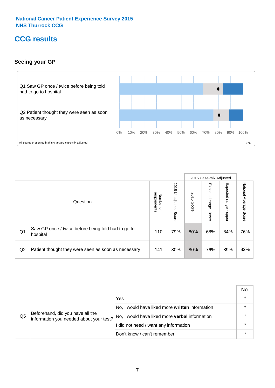# **CCG results**

### **Seeing your GP**



|    |                                                                |                                         |                             |               | 2015 Case-mix Adjusted     |                            |                           |
|----|----------------------------------------------------------------|-----------------------------------------|-----------------------------|---------------|----------------------------|----------------------------|---------------------------|
|    | Question                                                       | respondents<br>Number<br>$\overline{a}$ | 2015<br>Unadjusted<br>Score | 2015<br>Score | Expected<br>range<br>lower | Expected<br>range<br>dpper | National Average<br>Score |
| Q1 | Saw GP once / twice before being told had to go to<br>hospital | 110                                     | 79%                         | 80%           | 68%                        | 84%                        | 76%                       |
| Q2 | Patient thought they were seen as soon as necessary            | 141                                     | 80%                         | 80%           | 76%                        | 89%                        | 82%                       |

|                |                                                                             |                                                 | No. |
|----------------|-----------------------------------------------------------------------------|-------------------------------------------------|-----|
|                | Beforehand, did you have all the<br>information you needed about your test? | Yes                                             |     |
| Q <sub>5</sub> |                                                                             | No, I would have liked more written information |     |
|                |                                                                             | No, I would have liked more verbal information  |     |
|                |                                                                             | I did not need / want any information           |     |
|                |                                                                             | Don't know / can't remember                     |     |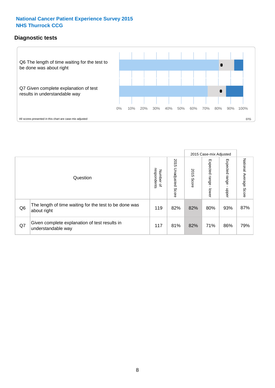### **Diagnostic tests**



|                |                                                                       |                                   |                             |               | 2015 Case-mix Adjusted  |                         |                           |
|----------------|-----------------------------------------------------------------------|-----------------------------------|-----------------------------|---------------|-------------------------|-------------------------|---------------------------|
|                | Question                                                              | respondents<br>Number<br>$\Omega$ | 2015<br>Unadjusted<br>Score | 2015<br>Score | Expected range<br>lower | Expected range<br>nbber | National Average<br>Score |
| Q <sub>6</sub> | The length of time waiting for the test to be done was<br>about right | 119                               | 82%                         | 82%           | 80%                     | 93%                     | 87%                       |
| Q7             | Given complete explanation of test results in<br>understandable way   | 117                               | 81%                         | 82%           | 71%                     | 86%                     | 79%                       |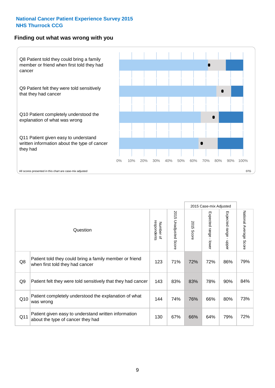#### **Finding out what was wrong with you**



|     |                                                                                            |                          |                                 |                      | 2015 Case-mix Adjusted                    |                                           |                        |
|-----|--------------------------------------------------------------------------------------------|--------------------------|---------------------------------|----------------------|-------------------------------------------|-------------------------------------------|------------------------|
|     | Question                                                                                   | respondents<br>Number of | 2015<br><b>Unadjusted Score</b> | 2015<br><b>Score</b> | Expected range<br>$\blacksquare$<br>lower | Expected range<br>$\blacksquare$<br>nbber | National Average Score |
| Q8  | Patient told they could bring a family member or friend<br>when first told they had cancer | 123                      | 71%                             | 72%                  | 72%                                       | 86%                                       | 79%                    |
| Q9  | Patient felt they were told sensitively that they had cancer                               | 143                      | 83%                             | 83%                  | 78%                                       | 90%                                       | 84%                    |
| Q10 | Patient completely understood the explanation of what<br>was wrong                         | 144                      | 74%                             | 76%                  | 66%                                       | 80%                                       | 73%                    |
| Q11 | Patient given easy to understand written information<br>about the type of cancer they had  | 130                      | 67%                             | 66%                  | 64%                                       | 79%                                       | 72%                    |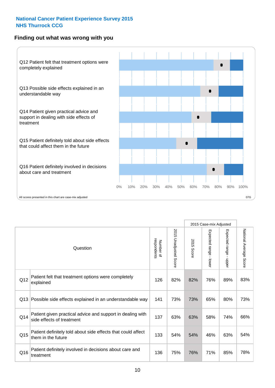### **Finding out what was wrong with you**



|          |                                                                                         |                          |                                 | 2015 Case-mix Adjusted |                                           |                        |                        |
|----------|-----------------------------------------------------------------------------------------|--------------------------|---------------------------------|------------------------|-------------------------------------------|------------------------|------------------------|
| Question |                                                                                         | Number of<br>respondents | 2015<br><b>Unadjusted Score</b> | 2015<br>Score          | Expected range<br>$\blacksquare$<br>lower | Expected range - upper | National Average Score |
| Q12      | Patient felt that treatment options were completely<br>explained                        | 126                      | 82%                             | 82%                    | 76%                                       | 89%                    | 83%                    |
| Q13      | Possible side effects explained in an understandable way                                | 141                      | 73%                             | 73%                    | 65%                                       | 80%                    | 73%                    |
| Q14      | Patient given practical advice and support in dealing with<br>side effects of treatment | 137                      | 63%                             | 63%                    | 58%                                       | 74%                    | 66%                    |
| Q15      | Patient definitely told about side effects that could affect<br>them in the future      | 133                      | 54%                             | 54%                    | 46%                                       | 63%                    | 54%                    |
| Q16      | Patient definitely involved in decisions about care and<br>treatment                    | 136                      | 75%                             | 76%                    | 71%                                       | 85%                    | 78%                    |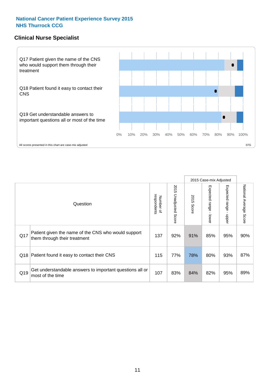### **Clinical Nurse Specialist**



|     |                                                                                     |                          |                       |               | 2015 Case-mix Adjusted  |                         |                                  |
|-----|-------------------------------------------------------------------------------------|--------------------------|-----------------------|---------------|-------------------------|-------------------------|----------------------------------|
|     | Question                                                                            | respondents<br>Number of | 2015 Unadjusted Score | 2015<br>Score | Expected range<br>lower | Expected range<br>nbber | National Average<br><b>Score</b> |
| Q17 | Patient given the name of the CNS who would support<br>them through their treatment | 137                      | 92%                   | 91%           | 85%                     | 95%                     | 90%                              |
| Q18 | Patient found it easy to contact their CNS                                          | 115                      | 77%                   | 78%           | 80%                     | 93%                     | 87%                              |
| Q19 | Get understandable answers to important questions all or<br>most of the time        | 107                      | 83%                   | 84%           | 82%                     | 95%                     | 89%                              |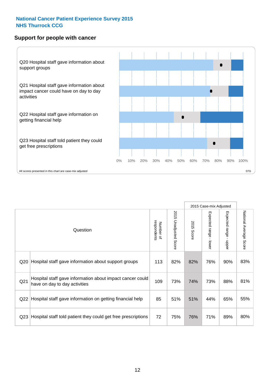#### **Support for people with cancer**



|                 |                                                                                            |                          |                                 |               | 2015 Case-mix Adjusted  |                                           |                        |
|-----------------|--------------------------------------------------------------------------------------------|--------------------------|---------------------------------|---------------|-------------------------|-------------------------------------------|------------------------|
|                 | Question                                                                                   | respondents<br>Number of | 2015<br><b>Unadjusted Score</b> | 2015<br>Score | Expected range<br>lower | Expected range<br>$\blacksquare$<br>nbber | National Average Score |
| Q20             | Hospital staff gave information about support groups                                       | 113                      | 82%                             | 82%           | 76%                     | 90%                                       | 83%                    |
| Q <sub>21</sub> | Hospital staff gave information about impact cancer could<br>have on day to day activities | 109                      | 73%                             | 74%           | 73%                     | 88%                                       | 81%                    |
| Q22             | Hospital staff gave information on getting financial help                                  | 85                       | 51%                             | 51%           | 44%                     | 65%                                       | 55%                    |
| Q <sub>23</sub> | Hospital staff told patient they could get free prescriptions                              | 72                       | 75%                             | 76%           | 71%                     | 89%                                       | 80%                    |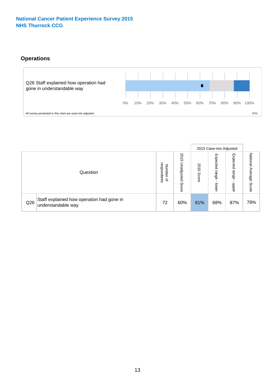# **Operations**



|     |                                                                 |                                         |                             |               | 2015 Case-mix Adjusted     |                           |                              |
|-----|-----------------------------------------------------------------|-----------------------------------------|-----------------------------|---------------|----------------------------|---------------------------|------------------------------|
|     | Question                                                        | respondents<br>Number<br>$\overline{a}$ | 2015<br>Unadjusted<br>Score | 2015<br>Score | Expected<br>range<br>lower | Expected<br>range<br>ddoe | National<br>Average<br>Score |
| Q26 | Staff explained how operation had gone in<br>understandable way | 72                                      | 60%                         | 61%           | 68%                        | 87%                       | 78%                          |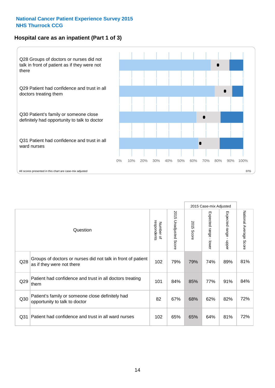# **Hospital care as an inpatient (Part 1 of 3)**



All scores presented in this chart are case-mix adjusted  $07G$ 

|                 |                                                                                           |                          |                       |                      | 2015 Case-mix Adjusted                    |                                           |                        |
|-----------------|-------------------------------------------------------------------------------------------|--------------------------|-----------------------|----------------------|-------------------------------------------|-------------------------------------------|------------------------|
|                 | Question                                                                                  | respondents<br>Number of | 2015 Unadjusted Score | 2015<br><b>Score</b> | Expected range<br>$\blacksquare$<br>lower | Expected range<br>$\blacksquare$<br>nbber | National Average Score |
| Q28             | Groups of doctors or nurses did not talk in front of patient<br>as if they were not there | 102                      | 79%                   | 79%                  | 74%                                       | 89%                                       | 81%                    |
| Q29             | Patient had confidence and trust in all doctors treating<br>them                          | 101                      | 84%                   | 85%                  | 77%                                       | 91%                                       | 84%                    |
| Q30             | Patient's family or someone close definitely had<br>opportunity to talk to doctor         | 82                       | 67%                   | 68%                  | 62%                                       | 82%                                       | 72%                    |
| Q <sub>31</sub> | Patient had confidence and trust in all ward nurses                                       | 102                      | 65%                   | 65%                  | 64%                                       | 81%                                       | 72%                    |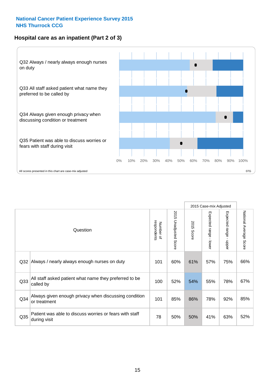### **Hospital care as an inpatient (Part 2 of 3)**



|                 |                                                                         |                          |                          |               | 2015 Case-mix Adjusted |                                           |                        |
|-----------------|-------------------------------------------------------------------------|--------------------------|--------------------------|---------------|------------------------|-------------------------------------------|------------------------|
|                 | Question                                                                | respondents<br>Number of | 2015<br>Unadjusted Score | 2015<br>Score | Expected range - lower | Expected range<br>$\blacksquare$<br>nbber | National Average Score |
| Q <sub>32</sub> | Always / nearly always enough nurses on duty                            | 101                      | 60%                      | 61%           | 57%                    | 75%                                       | 66%                    |
| Q <sub>33</sub> | All staff asked patient what name they preferred to be<br>called by     | 100                      | 52%                      | 54%           | 55%                    | 78%                                       | 67%                    |
| Q34             | Always given enough privacy when discussing condition<br>or treatment   | 101                      | 85%                      | 86%           | 78%                    | 92%                                       | 85%                    |
| Q35             | Patient was able to discuss worries or fears with staff<br>during visit | 78                       | 50%                      | 50%           | 41%                    | 63%                                       | 52%                    |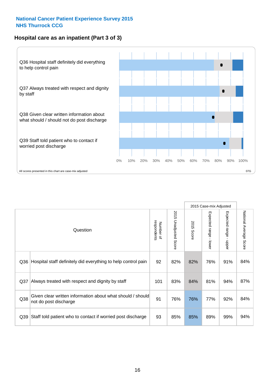# **Hospital care as an inpatient (Part 3 of 3)**



|     |                                                                                     |                          |                       |               | 2015 Case-mix Adjusted                  |                           |                        |
|-----|-------------------------------------------------------------------------------------|--------------------------|-----------------------|---------------|-----------------------------------------|---------------------------|------------------------|
|     | Question                                                                            | respondents<br>Number of | 2015 Unadjusted Score | 2015<br>Score | Expected range<br>$\mathbf{r}$<br>lower | Expected range -<br>nbber | National Average Score |
| Q36 | Hospital staff definitely did everything to help control pain                       | 92                       | 82%                   | 82%           | 76%                                     | 91%                       | 84%                    |
| Q37 | Always treated with respect and dignity by staff                                    | 101                      | 83%                   | 84%           | 81%                                     | 94%                       | 87%                    |
| Q38 | Given clear written information about what should / should<br>not do post discharge | 91                       | 76%                   | 76%           | 77%                                     | 92%                       | 84%                    |
| Q39 | Staff told patient who to contact if worried post discharge                         | 93                       | 85%                   | 85%           | 89%                                     | 99%                       | 94%                    |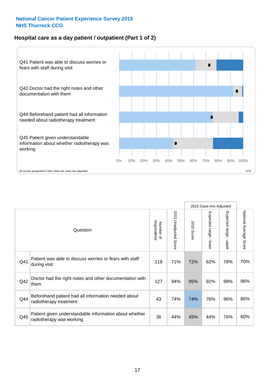### **Hospital care as a day patient / outpatient (Part 1 of 2)**



|     |                                                                                    |                          |                                 |                      | 2015 Case-mix Adjusted                  |                                         |                        |
|-----|------------------------------------------------------------------------------------|--------------------------|---------------------------------|----------------------|-----------------------------------------|-----------------------------------------|------------------------|
|     | Question                                                                           | respondents<br>Number of | 2015<br><b>Unadjusted Score</b> | 2015<br><b>Score</b> | Expected range<br>$\mathbf{I}$<br>lower | Expected range<br>$\mathbf{I}$<br>nbber | National Average Score |
| Q41 | Patient was able to discuss worries or fears with staff<br>during visit            | 118                      | 71%                             | 72%                  | 62%                                     | 78%                                     | 70%                    |
| Q42 | Doctor had the right notes and other documentation with<br>them                    | 127                      | 94%                             | 95%                  | 92%                                     | 99%                                     | 96%                    |
| Q44 | Beforehand patient had all information needed about<br>radiotherapy treatment      | 43                       | 74%                             | 74%                  | 76%                                     | 96%                                     | 86%                    |
| Q45 | Patient given understandable information about whether<br>radiotherapy was working | 36                       | 44%                             | 45%                  | 44%                                     | 76%                                     | 60%                    |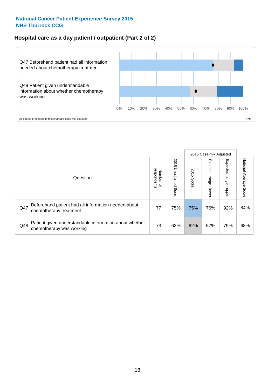### **Hospital care as a day patient / outpatient (Part 2 of 2)**



|     |                                                                                    |                                       |                             |               |                              | 2015 Case-mix Adjusted  |                           |
|-----|------------------------------------------------------------------------------------|---------------------------------------|-----------------------------|---------------|------------------------------|-------------------------|---------------------------|
|     | Question                                                                           | respondents<br>Number<br>$\mathbf{Q}$ | 2015<br>Unadjusted<br>Score | 2015<br>Score | Expected<br>I range<br>lower | Expected range<br>doper | National Average<br>Score |
| Q47 | Beforehand patient had all information needed about<br>chemotherapy treatment      | 77                                    | 75%                         | 75%           | 76%                          | 92%                     | 84%                       |
| Q48 | Patient given understandable information about whether<br>chemotherapy was working | 73                                    | 62%                         | 62%           | 57%                          | 79%                     | 68%                       |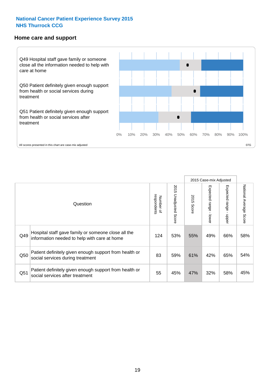#### **Home care and support**



2015 Case-mix Adjusted 2015 Unadjusted Score Expected range - upper National Average Score 2015 Unadjusted Score Expected range - lower National Average Score Expected range - lower Expected range - upper Number of<br>respondents 2015 Score respondents 2015 Score Number of Question Hospital staff gave family or someone close all the  $Q49$  information needed to help with care at home  $124$  |  $53\%$  |  $55\%$  |  $49\%$  |  $66\%$  |  $58\%$ Patient definitely given enough support from health or Q50 83 59% 61% 42% 65% social services during treatment 54% Patient definitely given enough support from health or  $\frac{32\%}{\%}$  social services after treatment  $\frac{32\%}{\%}$  45%  $\frac{47\%}{\%}$  32%  $\frac{32\%}{\%}$  45%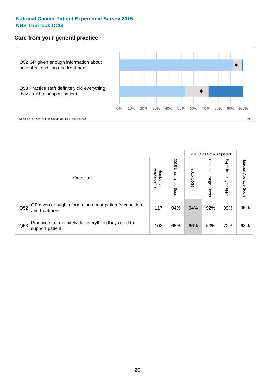#### **Care from your general practice**



|     |                                                                           |                                       |                             |               |                                   | 2015 Case-mix Adjusted     |                           |
|-----|---------------------------------------------------------------------------|---------------------------------------|-----------------------------|---------------|-----------------------------------|----------------------------|---------------------------|
|     | Question                                                                  | respondents<br>Number<br>$\mathbf{Q}$ | 2015<br>Unadjusted<br>Score | 2015<br>Score | Expected<br><b>Lange</b><br>lower | Expected<br>range<br>doper | National Average<br>Score |
| Q52 | GP given enough information about patient's condition<br>and treatment    | 117                                   | 94%                         | 94%           | 92%                               | 99%                        | 95%                       |
| Q53 | Practice staff definitely did everything they could to<br>support patient | 102                                   | 65%                         | 66%           | 53%                               | 72%                        | 63%                       |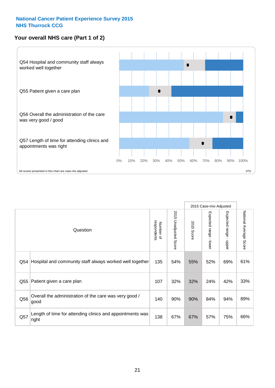# **Your overall NHS care (Part 1 of 2)**



|     |                                                                    |                          | 2015 Case-mix Adjusted   |                      |                                           |                                           |                        |
|-----|--------------------------------------------------------------------|--------------------------|--------------------------|----------------------|-------------------------------------------|-------------------------------------------|------------------------|
|     | Question                                                           | respondents<br>Number of | 2015<br>Unadjusted Score | 2015<br><b>Score</b> | Expected range<br>$\blacksquare$<br>lower | Expected range<br>$\blacksquare$<br>nbber | National Average Score |
| Q54 | Hospital and community staff always worked well together           | 135                      | 54%                      | 55%                  | 52%                                       | 69%                                       | 61%                    |
| Q55 | Patient given a care plan                                          | 107                      | 32%                      | 32%                  | 24%                                       | 42%                                       | 33%                    |
| Q56 | Overall the administration of the care was very good /<br>good     | 140                      | 90%                      | 90%                  | 84%                                       | 94%                                       | 89%                    |
| Q57 | Length of time for attending clinics and appointments was<br>right | 138                      | 67%                      | 67%                  | 57%                                       | 75%                                       | 66%                    |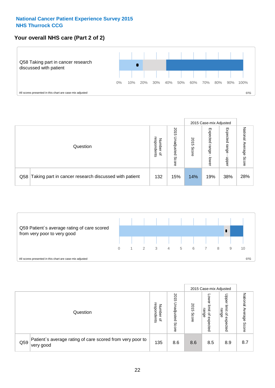### **Your overall NHS care (Part 2 of 2)**



|     |                                                       |                                         |                             |               |                            | 2015 Case-mix Adjusted     |                        |
|-----|-------------------------------------------------------|-----------------------------------------|-----------------------------|---------------|----------------------------|----------------------------|------------------------|
|     | Question                                              | respondents<br>Number<br>$\overline{a}$ | 2015<br>Jnadjusted<br>Score | 2015<br>Score | Expected<br>range<br>lower | Expected<br>range<br>doper | National Average Score |
| Q58 | Taking part in cancer research discussed with patient | 132                                     | 15%                         | 14%           | 19%                        | 38%                        | 28%                    |



|     |                                                                        |                                   |                             |               |                                                           | 2015 Case-mix Adjusted                                |                              |
|-----|------------------------------------------------------------------------|-----------------------------------|-----------------------------|---------------|-----------------------------------------------------------|-------------------------------------------------------|------------------------------|
|     | Question                                                               | respondents<br>Number<br>$\Omega$ | 2015<br>Jnadjusted<br>Score | 2015<br>Score | OWer<br>limit<br>range<br>$\overline{\sigma}$<br>expected | Upper<br>limit<br>range<br>$\overline{a}$<br>expected | National<br>Average<br>Score |
| Q59 | Patient's average rating of care scored from very poor to<br>very good | 135                               | 8.6                         | 8.6           | 8.5                                                       | 8.9                                                   | 8.7                          |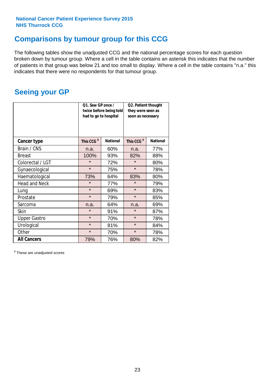# **Comparisons by tumour group for this CCG**

The following tables show the unadjusted CCG and the national percentage scores for each question broken down by tumour group. Where a cell in the table contains an asterisk this indicates that the number of patients in that group was below 21 and too small to display. Where a cell in the table contains "n.a." this indicates that there were no respondents for that tumour group.

# **Seeing your GP**

|                      | Q1. Saw GP once /<br>had to go to hospital | twice before being told | Q2. Patient thought<br>they were seen as<br>soon as necessary |                 |  |
|----------------------|--------------------------------------------|-------------------------|---------------------------------------------------------------|-----------------|--|
| <b>Cancer type</b>   | This CCG <sup>\$</sup>                     | <b>National</b>         | This CCG <sup>\$</sup>                                        | <b>National</b> |  |
| Brain / CNS          | n.a.                                       | 60%                     | n.a.                                                          | 77%             |  |
| <b>Breast</b>        | 100%                                       | 93%                     | 82%                                                           | 88%             |  |
| Colorectal / LGT     | $\star$                                    | 72%                     | $\star$                                                       | 80%             |  |
| Gynaecological       | $\star$                                    | 75%                     | $\star$                                                       | 78%             |  |
| Haematological       | 73%                                        | 64%                     | 83%                                                           | 80%             |  |
| <b>Head and Neck</b> | $\star$                                    | 77%                     | $\star$                                                       | 79%             |  |
| Lung                 | $\star$                                    | 69%                     | $\star$                                                       | 83%             |  |
| Prostate             | $\star$                                    | 79%                     | $\star$                                                       | 85%             |  |
| Sarcoma              | n.a.                                       | 64%                     | n.a.                                                          | 69%             |  |
| <b>Skin</b>          | $\star$                                    | 91%                     | $\star$                                                       | 87%             |  |
| <b>Upper Gastro</b>  | $\star$                                    | 70%                     | $\star$                                                       | 78%             |  |
| Urological           | $\star$                                    | 81%                     | $\star$                                                       | 84%             |  |
| Other                | $\star$                                    | 70%                     | $\star$                                                       | 78%             |  |
| <b>All Cancers</b>   | 79%                                        | 76%                     | 80%                                                           | 82%             |  |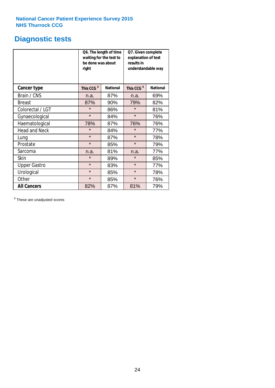# **Diagnostic tests**

|                      | be done was about<br>right | Q6. The length of time<br>waiting for the test to | Q7. Given complete<br>explanation of test<br>results in<br>understandable way |                 |  |
|----------------------|----------------------------|---------------------------------------------------|-------------------------------------------------------------------------------|-----------------|--|
| <b>Cancer type</b>   | This CCG <sup>\$</sup>     | <b>National</b>                                   | This CCG <sup>\$</sup>                                                        | <b>National</b> |  |
| Brain / CNS          | n.a.                       | 87%                                               | n.a.                                                                          | 69%             |  |
| <b>Breast</b>        | 87%                        | 90%                                               | 79%                                                                           | 82%             |  |
| Colorectal / LGT     | $\star$                    | 86%                                               | $\star$                                                                       | 81%             |  |
| Gynaecological       | $\star$                    | 84%                                               | $\star$                                                                       | 76%             |  |
| Haematological       | 78%                        | 87%                                               | 76%                                                                           | 76%             |  |
| <b>Head and Neck</b> | $\star$                    | 84%                                               | $\star$                                                                       | 77%             |  |
| Lung                 | $\star$                    | 87%                                               | $\star$                                                                       | 78%             |  |
| Prostate             | $\star$                    | 85%                                               | $\star$                                                                       | 79%             |  |
| Sarcoma              | n.a.                       | 81%                                               | n.a.                                                                          | 77%             |  |
| Skin                 | $\star$                    | 89%                                               | $\star$                                                                       | 85%             |  |
| <b>Upper Gastro</b>  | $\star$                    | 83%                                               | $\star$                                                                       | 77%             |  |
| Urological           | $\star$                    | 85%                                               | $\star$                                                                       | 78%             |  |
| Other                | $\star$                    | 85%                                               | $\star$                                                                       | 76%             |  |
| <b>All Cancers</b>   | 82%                        | 87%                                               | 81%                                                                           | 79%             |  |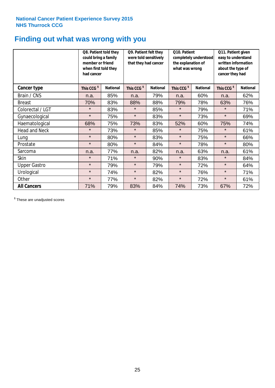# **Finding out what was wrong with you**

|                      | Q8. Patient told they<br>could bring a family<br>member or friend<br>when first told they<br>had cancer |                 | Q9. Patient felt they<br>were told sensitively<br>that they had cancer |                 | Q10. Patient<br>completely understood<br>the explanation of<br>what was wrong |                 | Q11. Patient given<br>easy to understand<br>written information<br>about the type of<br>cancer they had |                 |
|----------------------|---------------------------------------------------------------------------------------------------------|-----------------|------------------------------------------------------------------------|-----------------|-------------------------------------------------------------------------------|-----------------|---------------------------------------------------------------------------------------------------------|-----------------|
| Cancer type          | This CCG <sup>\$</sup>                                                                                  | <b>National</b> | This CCG <sup>\$</sup>                                                 | <b>National</b> | This CCG <sup>\$</sup>                                                        | <b>National</b> | This CCG <sup>\$</sup>                                                                                  | <b>National</b> |
| Brain / CNS          | n.a.                                                                                                    | 85%             | n.a.                                                                   | 79%             | n.a.                                                                          | 60%             | n.a.                                                                                                    | 62%             |
| <b>Breast</b>        | 70%                                                                                                     | 83%             | 88%                                                                    | 88%             | 79%                                                                           | 78%             | 63%                                                                                                     | 76%             |
| Colorectal / LGT     | $\star$                                                                                                 | 83%             | $\star$                                                                | 85%             | $\star$                                                                       | 79%             | $\star$                                                                                                 | 71%             |
| Gynaecological       | $\star$                                                                                                 | 75%             | $\star$                                                                | 83%             | $\star$                                                                       | 73%             | $\star$                                                                                                 | 69%             |
| Haematological       | 68%                                                                                                     | 75%             | 73%                                                                    | 83%             | 52%                                                                           | 60%             | 75%                                                                                                     | 74%             |
| <b>Head and Neck</b> | $\star$                                                                                                 | 73%             | $\star$                                                                | 85%             | $\star$                                                                       | 75%             | $\star$                                                                                                 | 61%             |
| Lung                 | $\star$                                                                                                 | 80%             | $\star$                                                                | 83%             | $\star$                                                                       | 75%             | $\star$                                                                                                 | 66%             |
| Prostate             | $\star$                                                                                                 | 80%             | $\star$                                                                | 84%             | $\star$                                                                       | 78%             | $\star$                                                                                                 | 80%             |
| Sarcoma              | n.a.                                                                                                    | 77%             | n.a.                                                                   | 82%             | n.a.                                                                          | 63%             | n.a.                                                                                                    | 61%             |
| Skin                 | $\star$                                                                                                 | 71%             | $\star$                                                                | 90%             | $\star$                                                                       | 83%             | $\star$                                                                                                 | 84%             |
| <b>Upper Gastro</b>  | $\star$                                                                                                 | 79%             | $\star$                                                                | 79%             | $\star$                                                                       | 72%             | $\star$                                                                                                 | 64%             |
| Urological           | $\star$                                                                                                 | 74%             | $\star$                                                                | 82%             | $\star$                                                                       | 76%             | $\star$                                                                                                 | 71%             |
| Other                | $\star$                                                                                                 | 77%             | $\star$                                                                | 82%             | $\star$                                                                       | 72%             | $\star$                                                                                                 | 61%             |
| <b>All Cancers</b>   | 71%                                                                                                     | 79%             | 83%                                                                    | 84%             | 74%                                                                           | 73%             | 67%                                                                                                     | 72%             |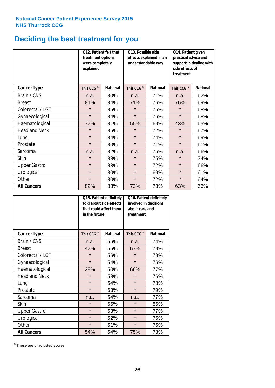# **Deciding the best treatment for you**

|                      | <b>O12. Patient felt that</b><br>treatment options<br>were completely<br>explained |                 | O13. Possible side<br>understandable way  | effects explained in an | Q14. Patient given<br>practical advice and<br>support in dealing with<br>side effects of<br>treatment |                 |  |
|----------------------|------------------------------------------------------------------------------------|-----------------|-------------------------------------------|-------------------------|-------------------------------------------------------------------------------------------------------|-----------------|--|
| <b>Cancer type</b>   | This CCG <sup>\$</sup>                                                             | <b>National</b> | This CCG <sup>\$</sup><br><b>National</b> |                         | This CCG <sup>\$</sup>                                                                                | <b>National</b> |  |
| Brain / CNS          | n.a.                                                                               | 80%             | n.a.                                      | 71%                     | n.a.                                                                                                  | 62%             |  |
| <b>Breast</b>        | 81%                                                                                | 84%             | 71%                                       | 76%                     | 76%                                                                                                   | 69%             |  |
| Colorectal / LGT     | $\star$                                                                            | 85%             | $\star$                                   | 75%                     | $\star$                                                                                               | 68%             |  |
| Gynaecological       | $\star$                                                                            | 84%             | $\star$                                   | 76%                     | $\star$                                                                                               | 68%             |  |
| Haematological       | 77%                                                                                | 81%             | 55%                                       | 69%                     | 43%                                                                                                   | 65%             |  |
| <b>Head and Neck</b> | $\star$                                                                            | 85%             | $\star$                                   | 72%                     | $\star$                                                                                               | 67%             |  |
| Lung                 | $\star$                                                                            | 84%             | $\star$                                   | 74%                     | $\star$                                                                                               | 69%             |  |
| Prostate             | $\star$                                                                            | 80%             | $\star$                                   | 71%                     | $\star$                                                                                               | 61%             |  |
| Sarcoma              | n.a.                                                                               | 82%             | n.a.                                      | 75%                     | n.a.                                                                                                  | 66%             |  |
| Skin                 | $\star$                                                                            | 88%             | $\star$                                   | 75%                     | $\star$                                                                                               | 74%             |  |
| <b>Upper Gastro</b>  | $\star$                                                                            | 83%             | $\star$                                   | 72%                     | $\star$                                                                                               | 66%             |  |
| Urological           | $\star$                                                                            | 80%             | $\star$                                   | 69%                     | $\star$                                                                                               | 61%             |  |
| Other                | $\star$                                                                            | 80%             | $\star$                                   | 72%                     | $\star$                                                                                               | 64%             |  |
| <b>All Cancers</b>   | 82%                                                                                | 83%             | 73%                                       | 73%                     | 63%                                                                                                   | 66%             |  |

|                      | in the future          | Q15. Patient definitely<br>told about side effects<br>that could affect them | Q16. Patient definitely<br>involved in decisions<br>about care and<br>treatment |                 |  |
|----------------------|------------------------|------------------------------------------------------------------------------|---------------------------------------------------------------------------------|-----------------|--|
| <b>Cancer type</b>   | This CCG <sup>\$</sup> | <b>National</b>                                                              | This CCG <sup>\$</sup>                                                          | <b>National</b> |  |
| Brain / CNS          | n.a.                   | 56%                                                                          | n.a.                                                                            | 74%             |  |
| <b>Breast</b>        | 47%                    | 55%                                                                          | 67%                                                                             | 79%             |  |
| Colorectal / LGT     | $\star$                | 56%                                                                          | $\star$                                                                         | 79%             |  |
| Gynaecological       | $\star$<br>54%         |                                                                              | $\star$                                                                         | 76%             |  |
| Haematological       | 39%<br>50%             |                                                                              | 66%                                                                             | 77%             |  |
| <b>Head and Neck</b> | $\star$                | 58%                                                                          | $\star$                                                                         | 76%             |  |
| Lung                 | $\star$                | 54%                                                                          | $\star$                                                                         | 78%             |  |
| Prostate             | $\star$                | 63%                                                                          | $\star$                                                                         | 79%             |  |
| Sarcoma              | n.a.                   | 54%                                                                          | n.a.                                                                            | 77%             |  |
| Skin                 | $\star$                | 66%                                                                          | $\star$                                                                         | 86%             |  |
| <b>Upper Gastro</b>  | $\star$                | 53%                                                                          | $\star$                                                                         | 77%             |  |
| Urological           | $\star$                | 52%                                                                          | $\star$                                                                         | 75%             |  |
| Other                | $\star$                | 51%                                                                          | $\star$                                                                         | 75%             |  |
| <b>All Cancers</b>   | 54%                    | 54%                                                                          | 75%                                                                             | 78%             |  |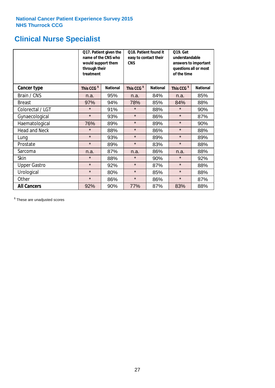# **Clinical Nurse Specialist**

|                     | would support them<br>through their<br>treatment | Q17. Patient given the<br>name of the CNS who | Q18. Patient found it<br>easy to contact their<br><b>CNS</b> |                 | <b>Q19. Get</b><br>understandable<br>answers to important<br>questions all or most<br>of the time |                 |  |
|---------------------|--------------------------------------------------|-----------------------------------------------|--------------------------------------------------------------|-----------------|---------------------------------------------------------------------------------------------------|-----------------|--|
| <b>Cancer type</b>  | This CCG <sup>\$</sup>                           | <b>National</b>                               | This CCG <sup>\$</sup>                                       | <b>National</b> | This CCG <sup>\$</sup>                                                                            | <b>National</b> |  |
| Brain / CNS         | n.a.                                             | 95%                                           | n.a.                                                         | 84%             | n.a.                                                                                              | 85%             |  |
| <b>Breast</b>       | 97%                                              | 94%                                           | 78%                                                          | 85%             | 84%                                                                                               | 88%             |  |
| Colorectal / LGT    | $\star$                                          | 91%                                           | $\star$                                                      | 88%             | $\star$                                                                                           | 90%             |  |
| Gynaecological      | $\star$                                          | 93%                                           | $\star$                                                      | 86%             | $\star$                                                                                           | 87%             |  |
| Haematological      | 76%                                              | 89%                                           | $\star$                                                      | 89%             | $\star$                                                                                           | 90%             |  |
| Head and Neck       | $\star$                                          | 88%                                           | $\star$                                                      | 86%             | $\star$                                                                                           | 88%             |  |
| Lung                | $\star$                                          | 93%                                           | $\star$                                                      | 89%             | $\star$                                                                                           | 89%             |  |
| Prostate            | $\star$                                          | 89%                                           | $\star$                                                      | 83%             | $\star$                                                                                           | 88%             |  |
| Sarcoma             | n.a.                                             | 87%                                           | n.a.                                                         | 86%             | n.a.                                                                                              | 88%             |  |
| Skin                | $\star$                                          | 88%                                           | $\star$                                                      | 90%             | $\star$                                                                                           | 92%             |  |
| <b>Upper Gastro</b> | $\star$                                          | 92%                                           | $\star$                                                      | 87%             | $\star$                                                                                           | 88%             |  |
| Urological          | $\star$                                          | 80%                                           | $\star$                                                      | 85%             | $\star$                                                                                           | 88%             |  |
| Other               | $\star$                                          | 86%                                           | $\star$                                                      | 86%             | $\star$                                                                                           | 87%             |  |
| <b>All Cancers</b>  | 92%                                              | 90%                                           | 77%                                                          | 87%             | 83%                                                                                               | 88%             |  |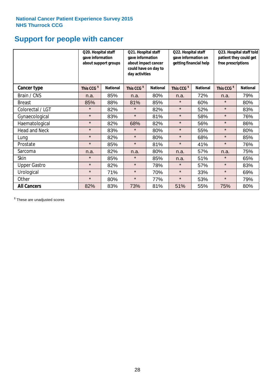# **Support for people with cancer**

|                      |                        | Q20. Hospital staff<br>gave information<br>about support groups |                        | Q21. Hospital staff<br>gave information<br>about impact cancer<br>could have on day to<br>day activities |                        | Q22. Hospital staff<br>gave information on<br>getting financial help |                        | Q23. Hospital staff told<br>patient they could get<br>free prescriptions |  |
|----------------------|------------------------|-----------------------------------------------------------------|------------------------|----------------------------------------------------------------------------------------------------------|------------------------|----------------------------------------------------------------------|------------------------|--------------------------------------------------------------------------|--|
| Cancer type          | This CCG <sup>\$</sup> | <b>National</b>                                                 | This CCG <sup>\$</sup> | <b>National</b>                                                                                          | This CCG <sup>\$</sup> | <b>National</b>                                                      | This CCG <sup>\$</sup> | <b>National</b>                                                          |  |
| Brain / CNS          | n.a.                   | 85%                                                             | n.a.                   | 80%                                                                                                      | n.a.                   | 72%                                                                  | n.a.                   | 79%                                                                      |  |
| <b>Breast</b>        | 85%                    | 88%                                                             | 81%                    | 85%                                                                                                      | $\star$                | 60%                                                                  | $\star$                | 80%                                                                      |  |
| Colorectal / LGT     | $\star$                | 82%                                                             | $\star$                | 82%                                                                                                      | $\star$                | 52%                                                                  | $\star$                | 83%                                                                      |  |
| Gynaecological       | $\star$                | 83%                                                             | $\star$                | 81%                                                                                                      | $\star$                | 58%                                                                  | $\star$                | 76%                                                                      |  |
| Haematological       | $\star$                | 82%                                                             | 68%                    | 82%                                                                                                      | $\star$                | 56%                                                                  | $\star$                | 86%                                                                      |  |
| <b>Head and Neck</b> | $\star$                | 83%                                                             | $\star$                | 80%                                                                                                      | $\star$                | 55%                                                                  | $\star$                | 80%                                                                      |  |
| Lung                 | $\star$                | 82%                                                             | $\star$                | 80%                                                                                                      | $\star$                | 68%                                                                  | $\star$                | 85%                                                                      |  |
| Prostate             | $\star$                | 85%                                                             | $\star$                | 81%                                                                                                      | $\star$                | 41%                                                                  | $\star$                | 76%                                                                      |  |
| Sarcoma              | n.a.                   | 82%                                                             | n.a.                   | 80%                                                                                                      | n.a.                   | 57%                                                                  | n.a.                   | 75%                                                                      |  |
| Skin                 | $\star$                | 85%                                                             | $\star$                | 85%                                                                                                      | n.a.                   | 51%                                                                  | $\star$                | 65%                                                                      |  |
| <b>Upper Gastro</b>  | $\star$                | 82%                                                             | $\star$                | 78%                                                                                                      | $\star$                | 57%                                                                  | $\star$                | 83%                                                                      |  |
| Urological           | $\star$                | 71%                                                             | $\star$                | 70%                                                                                                      | $\star$                | 33%                                                                  | $\star$                | 69%                                                                      |  |
| Other                | $\star$                | 80%                                                             | $\star$                | 77%                                                                                                      | $\star$                | 53%                                                                  | $\star$                | 79%                                                                      |  |
| <b>All Cancers</b>   | 82%                    | 83%                                                             | 73%                    | 81%                                                                                                      | 51%                    | 55%                                                                  | 75%                    | 80%                                                                      |  |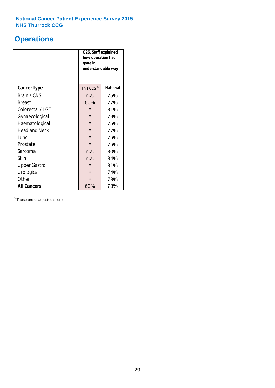# **Operations**

|                      | Q26. Staff explained<br>how operation had<br>gone in<br>understandable way |                 |  |  |
|----------------------|----------------------------------------------------------------------------|-----------------|--|--|
| <b>Cancer type</b>   | This CCG <sup>\$</sup>                                                     | <b>National</b> |  |  |
| Brain / CNS          | n.a.                                                                       | 75%             |  |  |
| <b>Breast</b>        | 50%                                                                        | 77%             |  |  |
| Colorectal / LGT     | $\star$                                                                    | 81%             |  |  |
| Gynaecological       | $\star$                                                                    | 79%             |  |  |
| Haematological       | $\star$                                                                    | 75%             |  |  |
| <b>Head and Neck</b> | $\star$                                                                    | 77%             |  |  |
| Lung                 | $\star$                                                                    | 76%             |  |  |
| Prostate             | $\star$                                                                    | 76%             |  |  |
| Sarcoma              | n.a.                                                                       | 80%             |  |  |
| Skin                 | n.a.                                                                       | 84%             |  |  |
| <b>Upper Gastro</b>  | $\star$                                                                    | 81%             |  |  |
| Urological           | $\star$                                                                    | 74%             |  |  |
| Other                | $\star$                                                                    | 78%             |  |  |
| <b>All Cancers</b>   | 60%                                                                        | 78%             |  |  |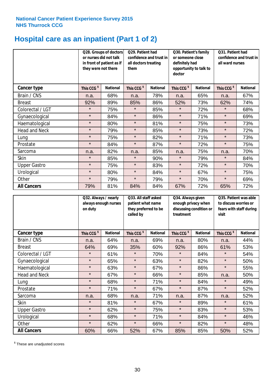# **Hospital care as an inpatient (Part 1 of 2)**

|                      |                        | Q28. Groups of doctors<br>or nurses did not talk<br>in front of patient as if<br>they were not there |                        | Q29. Patient had<br>confidence and trust in<br>all doctors treating<br>them |                        | Q30. Patient's family<br>or someone close<br>definitely had<br>opportunity to talk to<br>doctor |                        | Q31. Patient had<br>confidence and trust in<br>all ward nurses |  |
|----------------------|------------------------|------------------------------------------------------------------------------------------------------|------------------------|-----------------------------------------------------------------------------|------------------------|-------------------------------------------------------------------------------------------------|------------------------|----------------------------------------------------------------|--|
| Cancer type          | This CCG <sup>\$</sup> | <b>National</b>                                                                                      | This CCG <sup>\$</sup> | <b>National</b>                                                             | This CCG <sup>\$</sup> | <b>National</b>                                                                                 | This CCG <sup>\$</sup> | <b>National</b>                                                |  |
| Brain / CNS          | n.a.                   | 68%                                                                                                  | n.a.                   | 78%                                                                         | n.a.                   | 65%                                                                                             | n.a.                   | 67%                                                            |  |
| <b>Breast</b>        | 92%                    | 89%                                                                                                  | 85%                    | 86%                                                                         | 52%                    | 73%                                                                                             | 62%                    | 74%                                                            |  |
| Colorectal / LGT     | $\star$                | 75%                                                                                                  | $\star$                | 85%                                                                         | $\star$                | 72%                                                                                             | $\star$                | 68%                                                            |  |
| Gynaecological       | $\star$                | 84%                                                                                                  | $\star$                | 86%                                                                         | $\star$                | 71%                                                                                             | $\star$                | 69%                                                            |  |
| Haematological       | $\star$                | 80%                                                                                                  | $\star$                | 81%                                                                         | $\star$                | 75%                                                                                             | $\star$                | 73%                                                            |  |
| <b>Head and Neck</b> | $\star$                | 79%                                                                                                  | $\star$                | 85%                                                                         | $\star$                | 73%                                                                                             | $\star$                | 72%                                                            |  |
| Lung                 | $\star$                | 75%                                                                                                  | $\star$                | 82%                                                                         | $\star$                | 71%                                                                                             | $\star$                | 73%                                                            |  |
| Prostate             | $\star$                | 84%                                                                                                  | $\star$                | 87%                                                                         | $\star$                | 72%                                                                                             | $\star$                | 75%                                                            |  |
| Sarcoma              | n.a.                   | 82%                                                                                                  | n.a.                   | 85%                                                                         | n.a.                   | 75%                                                                                             | n.a.                   | 70%                                                            |  |
| Skin                 | $\star$                | 85%                                                                                                  | $\star$                | 90%                                                                         | $\star$                | 79%                                                                                             | $\star$                | 84%                                                            |  |
| <b>Upper Gastro</b>  | $\star$                | 75%                                                                                                  | $\star$                | 83%                                                                         | $\star$                | 72%                                                                                             | $\star$                | 70%                                                            |  |
| Urological           | $\star$                | 80%                                                                                                  | $\star$                | 84%                                                                         | $\star$                | 67%                                                                                             | $\star$                | 75%                                                            |  |
| Other                | $\star$                | 79%                                                                                                  | $\star$                | 79%                                                                         | $\star$                | 70%                                                                                             | $\star$                | 69%                                                            |  |
| <b>All Cancers</b>   | 79%                    | 81%                                                                                                  | 84%                    | 84%                                                                         | 67%                    | 72%                                                                                             | 65%                    | 72%                                                            |  |

|                      | Q32. Always / nearly<br>always enough nurses<br>on duty |                 | Q33. All staff asked<br>patient what name<br>they preferred to be<br>called by |                 | Q34. Always given<br>enough privacy when<br>discussing condition or<br>treatment |                 | Q35. Patient was able<br>to discuss worries or<br>fears with staff during<br>visit |                 |
|----------------------|---------------------------------------------------------|-----------------|--------------------------------------------------------------------------------|-----------------|----------------------------------------------------------------------------------|-----------------|------------------------------------------------------------------------------------|-----------------|
| <b>Cancer type</b>   | This CCG <sup>\$</sup>                                  | <b>National</b> | This CCG <sup>\$</sup>                                                         | <b>National</b> | This CCG <sup>\$</sup>                                                           | <b>National</b> | This CCG <sup>\$</sup>                                                             | <b>National</b> |
| Brain / CNS          | n.a.                                                    | 64%             | n.a.                                                                           | 69%             | n.a.                                                                             | 80%             | n.a.                                                                               | 44%             |
| <b>Breast</b>        | 64%                                                     | 69%             | 35%                                                                            | 60%             | 92%                                                                              | 86%             | 61%                                                                                | 53%             |
| Colorectal / LGT     | $\star$                                                 | 61%             | $\star$                                                                        | 70%             | $\star$                                                                          | 84%             | $\star$                                                                            | 54%             |
| Gynaecological       | $\star$                                                 | 65%             | $\star$                                                                        | 63%             | $\star$                                                                          | 82%             | $\star$                                                                            | 50%             |
| Haematological       | $\star$                                                 | 63%             | $\star$                                                                        | 67%             | $\star$                                                                          | 86%             | $\star$                                                                            | 55%             |
| <b>Head and Neck</b> | $\star$                                                 | 67%             | $\star$                                                                        | 66%             | $\star$                                                                          | 85%             | n.a.                                                                               | 50%             |
| Lung                 | $\star$                                                 | 68%             | $\star$                                                                        | 71%             | $\star$                                                                          | 84%             | $\star$                                                                            | 49%             |
| Prostate             | $\star$                                                 | 71%             | $\star$                                                                        | 67%             | $\star$                                                                          | 87%             | $\star$                                                                            | 52%             |
| Sarcoma              | n.a.                                                    | 68%             | n.a.                                                                           | 71%             | n.a.                                                                             | 87%             | n.a.                                                                               | 52%             |
| Skin                 | $\star$                                                 | 81%             | $\star$                                                                        | 67%             | $\star$                                                                          | 89%             | $\star$                                                                            | 61%             |
| <b>Upper Gastro</b>  | $\star$                                                 | 62%             | $\star$                                                                        | 75%             | $\star$                                                                          | 83%             | $\star$                                                                            | 53%             |
| Urological           | $\star$                                                 | 68%             | $\star$                                                                        | 71%             | $\star$                                                                          | 84%             | $\star$                                                                            | 46%             |
| Other                | $\star$                                                 | 62%             | $\star$                                                                        | 66%             | $\star$                                                                          | 82%             | $\star$                                                                            | 48%             |
| <b>All Cancers</b>   | 60%                                                     | 66%             | 52%                                                                            | 67%             | 85%                                                                              | 85%             | 50%                                                                                | 52%             |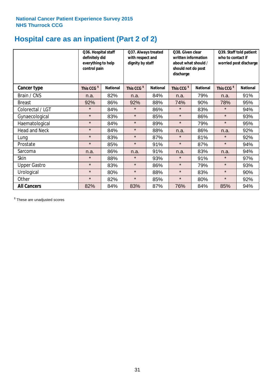# **Hospital care as an inpatient (Part 2 of 2)**

|                      | Q36. Hospital staff<br>definitely did<br>everything to help<br>control pain | Q37. Always treated<br>with respect and<br>dignity by staff |                        |                 | Q38. Given clear<br>written information<br>about what should /<br>should not do post<br>discharge |                 | Q39. Staff told patient<br>who to contact if<br>worried post discharge |                 |  |
|----------------------|-----------------------------------------------------------------------------|-------------------------------------------------------------|------------------------|-----------------|---------------------------------------------------------------------------------------------------|-----------------|------------------------------------------------------------------------|-----------------|--|
| Cancer type          | This CCG <sup>\$</sup>                                                      | <b>National</b>                                             | This CCG <sup>\$</sup> | <b>National</b> | This CCG <sup>\$</sup>                                                                            | <b>National</b> | This CCG <sup>\$</sup>                                                 | <b>National</b> |  |
| Brain / CNS          | n.a.                                                                        | 82%                                                         | n.a.                   | 84%             | n.a.                                                                                              | 79%             | n.a.                                                                   | 91%             |  |
| <b>Breast</b>        | 92%                                                                         | 86%                                                         | 92%                    | 88%             | 74%                                                                                               | 90%             | 78%                                                                    | 95%             |  |
| Colorectal / LGT     | $\star$                                                                     | 84%                                                         | $\star$                | 86%             | $\star$                                                                                           | 83%             | $\star$                                                                | 94%             |  |
| Gynaecological       | $\star$                                                                     | 83%                                                         | $\star$                | 85%             | $\star$                                                                                           | 86%             | $\star$                                                                | 93%             |  |
| Haematological       | $\star$                                                                     | 84%                                                         | $\star$                | 89%             | $\star$                                                                                           | 79%             | $\star$                                                                | 95%             |  |
| <b>Head and Neck</b> | $\star$                                                                     | 84%                                                         | $\star$                | 88%             | n.a.                                                                                              | 86%             | n.a.                                                                   | 92%             |  |
| Lung                 | $\star$                                                                     | 83%                                                         | $\star$                | 87%             | $\star$                                                                                           | 81%             | $\star$                                                                | 92%             |  |
| Prostate             | $\star$                                                                     | 85%                                                         | $\star$                | 91%             | $\star$                                                                                           | 87%             | $\star$                                                                | 94%             |  |
| Sarcoma              | n.a.                                                                        | 86%                                                         | n.a.                   | 91%             | n.a.                                                                                              | 83%             | n.a.                                                                   | 94%             |  |
| Skin                 | $\star$                                                                     | 88%                                                         | $\star$                | 93%             | $\star$                                                                                           | 91%             | $\star$                                                                | 97%             |  |
| <b>Upper Gastro</b>  | $\star$                                                                     | 83%                                                         | $\star$                | 86%             | $\star$                                                                                           | 79%             | $\star$                                                                | 93%             |  |
| Urological           | $\star$                                                                     | 80%                                                         | $\star$                | 88%             | $\star$                                                                                           | 83%             | $\star$                                                                | 90%             |  |
| Other                | $\star$                                                                     | 82%                                                         | $\star$                | 85%             | $\star$                                                                                           | 80%             | $\star$                                                                | 92%             |  |
| <b>All Cancers</b>   | 82%                                                                         | 84%                                                         | 83%                    | 87%             | 76%                                                                                               | 84%             | 85%                                                                    | 94%             |  |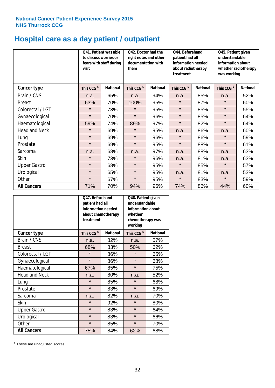# **Hospital care as a day patient / outpatient**

|                      | to discuss worries or<br>visit | Q41. Patient was able<br>fears with staff during | Q42. Doctor had the<br>right notes and other<br>documentation with<br>them |                 | Q44. Beforehand<br>patient had all<br>information needed<br>about radiotherapy<br>treatment |                 | Q45. Patient given<br>understandable<br>information about<br>whether radiotherapy<br>was working |                 |
|----------------------|--------------------------------|--------------------------------------------------|----------------------------------------------------------------------------|-----------------|---------------------------------------------------------------------------------------------|-----------------|--------------------------------------------------------------------------------------------------|-----------------|
| <b>Cancer type</b>   | This CCG <sup>\$</sup>         | <b>National</b>                                  | This CCG <sup>\$</sup>                                                     | <b>National</b> | This CCG <sup>\$</sup>                                                                      | <b>National</b> | This CCG <sup>\$</sup>                                                                           | <b>National</b> |
| Brain / CNS          | n.a.                           | 65%                                              | n.a.                                                                       | 94%             | n.a.                                                                                        | 85%             | n.a.                                                                                             | 52%             |
| <b>Breast</b>        | 63%                            | 70%                                              | 100%                                                                       | 95%             | $\star$                                                                                     | 87%             | $\star$                                                                                          | 60%             |
| Colorectal / LGT     | $\star$                        | 73%                                              | $\star$                                                                    | 95%             | $\star$                                                                                     | 85%             | $\star$                                                                                          | 55%             |
| Gynaecological       | $\star$                        | 70%                                              | $\star$                                                                    | 96%             | $\star$                                                                                     | 85%             | $\star$                                                                                          | 64%             |
| Haematological       | 59%                            | 74%                                              | 89%                                                                        | 97%             | $\star$                                                                                     | 82%             | $\star$                                                                                          | 64%             |
| <b>Head and Neck</b> | $\star$                        | 69%                                              | $\star$                                                                    | 95%             | n.a.                                                                                        | 86%             | n.a.                                                                                             | 60%             |
| Lung                 | $\star$                        | 69%                                              | $\star$                                                                    | 96%             | $\star$                                                                                     | 86%             | $\star$                                                                                          | 59%             |
| Prostate             | $\star$                        | 69%                                              | $\star$                                                                    | 95%             | $\star$                                                                                     | 88%             | $\star$                                                                                          | 61%             |
| Sarcoma              | n.a.                           | 68%                                              | n.a.                                                                       | 97%             | n.a.                                                                                        | 88%             | n.a.                                                                                             | 63%             |
| Skin                 | $\star$                        | 73%                                              | $\star$                                                                    | 96%             | n.a.                                                                                        | 81%             | n.a.                                                                                             | 63%             |
| <b>Upper Gastro</b>  | $\star$                        | 68%                                              | $\star$                                                                    | 95%             | $\star$                                                                                     | 85%             | $\star$                                                                                          | 57%             |
| Urological           | $\star$                        | 65%                                              | $\star$                                                                    | 95%             | n.a.                                                                                        | 81%             | n.a.                                                                                             | 53%             |
| Other                | $\star$                        | 67%                                              | $\star$                                                                    | 95%             | $\star$                                                                                     | 83%             | $\star$                                                                                          | 59%             |
| <b>All Cancers</b>   | 71%                            | 70%                                              | 94%                                                                        | 96%             | 74%                                                                                         | 86%             | 44%                                                                                              | 60%             |

|                      | O47. Beforehand<br>patient had all<br>information needed<br>treatment | about chemotherapy | Q48. Patient given<br>understandable<br>information about<br>whether<br>chemotherapy was<br>working |                 |  |
|----------------------|-----------------------------------------------------------------------|--------------------|-----------------------------------------------------------------------------------------------------|-----------------|--|
| <b>Cancer type</b>   | This CCG <sup>\$</sup>                                                | <b>National</b>    | This CCG <sup>\$</sup>                                                                              | <b>National</b> |  |
| Brain / CNS          | n.a.                                                                  | 82%                | n.a.                                                                                                | 57%             |  |
| <b>Breast</b>        | 68%                                                                   | 83%                | 50%                                                                                                 | 62%             |  |
| Colorectal / LGT     | $\star$                                                               | 86%                | $\star$                                                                                             | 65%             |  |
| Gynaecological       | $\star$                                                               | 86%                | $\star$                                                                                             | 68%             |  |
| Haematological       | 67%<br>85%                                                            |                    | $\star$                                                                                             | 75%             |  |
| <b>Head and Neck</b> | n.a.                                                                  | 80%                | n.a.                                                                                                | 52%             |  |
| Lung                 | $\star$                                                               | 85%                | $\star$                                                                                             | 68%             |  |
| Prostate             | $\star$                                                               | 83%                | $\star$                                                                                             | 69%             |  |
| Sarcoma              | n.a.                                                                  | 82%                | n.a.                                                                                                | 70%             |  |
| Skin                 | $\star$                                                               | 92%                | $\star$                                                                                             | 80%             |  |
| <b>Upper Gastro</b>  | $\star$                                                               | 83%                | $\star$                                                                                             | 64%             |  |
| Urological           | $\star$                                                               | 83%                | $\star$                                                                                             | 66%             |  |
| Other                | $\star$                                                               | 85%                | $\star$                                                                                             | 70%             |  |
| <b>All Cancers</b>   | 75%                                                                   | 84%                | 62%                                                                                                 | 68%             |  |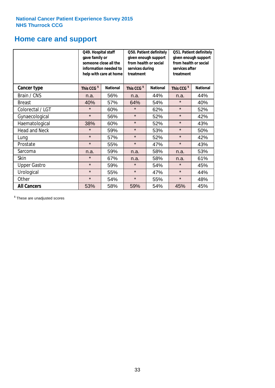# **Home care and support**

|                      | Q49. Hospital staff<br>gave family or | someone close all the<br>information needed to<br>help with care at home | Q50. Patient definitely<br>given enough support<br>from health or social<br>services during<br>treatment |                 | Q51. Patient definitely<br>given enough support<br>from health or social<br>services after<br>treatment |                 |
|----------------------|---------------------------------------|--------------------------------------------------------------------------|----------------------------------------------------------------------------------------------------------|-----------------|---------------------------------------------------------------------------------------------------------|-----------------|
| <b>Cancer type</b>   | This CCG <sup>\$</sup>                | <b>National</b>                                                          | This CCG <sup>\$</sup>                                                                                   | <b>National</b> | This CCG <sup>\$</sup>                                                                                  | <b>National</b> |
| Brain / CNS          | n.a.                                  | 56%                                                                      | n.a.                                                                                                     | 44%             | n.a.                                                                                                    | 44%             |
| <b>Breast</b>        | 40%                                   | 57%                                                                      | 64%                                                                                                      | 54%             | $\star$                                                                                                 | 40%             |
| Colorectal / LGT     | $\star$                               | 60%                                                                      | $\star$                                                                                                  | 62%             | $\star$                                                                                                 | 52%             |
| Gynaecological       | $\star$                               | 56%                                                                      | $\star$                                                                                                  | 52%             | $\star$                                                                                                 | 42%             |
| Haematological       | 38%                                   | 60%                                                                      | $\star$                                                                                                  | 52%             | $\star$                                                                                                 | 43%             |
| <b>Head and Neck</b> | $\star$                               | 59%                                                                      | $\star$                                                                                                  | 53%             | $\star$                                                                                                 | 50%             |
| Lung                 | $\star$                               | 57%                                                                      | $\star$                                                                                                  | 52%             | $\star$                                                                                                 | 42%             |
| Prostate             | $\star$                               | 55%                                                                      | $\star$                                                                                                  | 47%             | $\star$                                                                                                 | 43%             |
| Sarcoma              | n.a.                                  | 59%                                                                      | n.a.                                                                                                     | 58%             | n.a.                                                                                                    | 53%             |
| Skin                 | $\star$                               | 67%                                                                      | n.a.                                                                                                     | 58%             | n.a.                                                                                                    | 61%             |
| <b>Upper Gastro</b>  | $\star$                               | 59%                                                                      | $\star$                                                                                                  | 54%             | $\star$                                                                                                 | 45%             |
| Urological           | $\star$                               | 55%                                                                      | $\star$                                                                                                  | 47%             | $\star$                                                                                                 | 44%             |
| Other                | $\star$                               | 54%                                                                      | $\star$                                                                                                  | 55%             | $\star$                                                                                                 | 48%             |
| <b>All Cancers</b>   | 53%                                   | 58%                                                                      | 59%                                                                                                      | 54%             | 45%                                                                                                     | 45%             |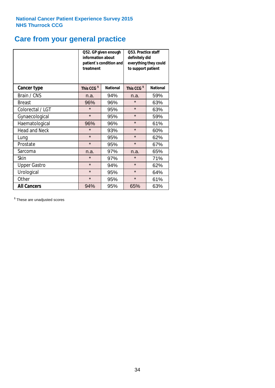# **Care from your general practice**

|                      | information about<br>treatment | Q52. GP given enough<br>patient's condition and | O53. Practice staff<br>definitely did<br>everything they could<br>to support patient |                 |  |
|----------------------|--------------------------------|-------------------------------------------------|--------------------------------------------------------------------------------------|-----------------|--|
| <b>Cancer type</b>   | This CCG <sup>\$</sup>         | <b>National</b>                                 | This CCG <sup>\$</sup>                                                               | <b>National</b> |  |
| Brain / CNS          | n.a.                           | 94%                                             | n.a.                                                                                 | 59%             |  |
| <b>Breast</b>        | 96%                            | 96%                                             | $\star$                                                                              | 63%             |  |
| Colorectal / LGT     | $\star$                        | 95%                                             | $\star$                                                                              | 63%             |  |
| Gynaecological       | $\star$                        | 95%                                             | $\star$                                                                              | 59%             |  |
| Haematological       | 96%                            | 96%                                             | $\star$                                                                              | 61%             |  |
| <b>Head and Neck</b> | $\star$                        | 93%                                             | $\star$                                                                              | 60%             |  |
| Lung                 | $\star$                        | 95%                                             | $\star$                                                                              | 62%             |  |
| Prostate             | $\star$                        | 95%                                             | $\star$                                                                              | 67%             |  |
| Sarcoma              | n.a.                           | 97%                                             | n.a.                                                                                 | 65%             |  |
| Skin                 | $\star$                        | 97%                                             | $\star$                                                                              | 71%             |  |
| <b>Upper Gastro</b>  | $\star$                        | 94%                                             | $\star$                                                                              | 62%             |  |
| Urological           | $\star$                        | 95%                                             | $\star$                                                                              | 64%             |  |
| Other                | $\star$                        | 95%                                             | $\star$                                                                              | 61%             |  |
| <b>All Cancers</b>   | 94%                            | 95%                                             | 65%                                                                                  | 63%             |  |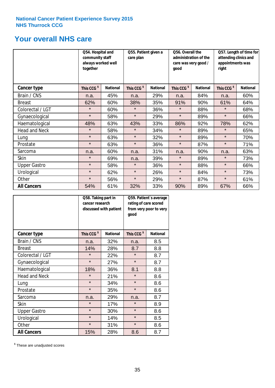# **Your overall NHS care**

|                      | Q54. Hospital and<br>community staff<br>always worked well<br>together |                 | Q55. Patient given a<br>care plan |                 | Q56. Overall the<br>administration of the<br>care was very good /<br>qood |                 | Q57. Length of time for<br>attending clinics and<br>appointments was<br>right |                 |
|----------------------|------------------------------------------------------------------------|-----------------|-----------------------------------|-----------------|---------------------------------------------------------------------------|-----------------|-------------------------------------------------------------------------------|-----------------|
| <b>Cancer type</b>   | This CCG <sup>\$</sup>                                                 | <b>National</b> | This CCG <sup>\$</sup>            | <b>National</b> | This CCG <sup>\$</sup>                                                    | <b>National</b> | This CCG <sup>\$</sup>                                                        | <b>National</b> |
| Brain / CNS          | n.a.                                                                   | 45%             | n.a.                              | 29%             | n.a.                                                                      | 84%             | n.a.                                                                          | 60%             |
| <b>Breast</b>        | 62%                                                                    | 60%             | 38%                               | 35%             | 91%                                                                       | 90%             | 61%                                                                           | 64%             |
| Colorectal / LGT     | $\star$                                                                | 60%             | $\star$                           | 36%             | $\star$                                                                   | 88%             | $\star$                                                                       | 68%             |
| Gynaecological       | $\star$                                                                | 58%             | $\star$                           | 29%             | $\star$                                                                   | 89%             | $\star$                                                                       | 66%             |
| Haematological       | 48%                                                                    | 63%             | 43%                               | 33%             | 86%                                                                       | 92%             | 78%                                                                           | 62%             |
| <b>Head and Neck</b> | $\star$                                                                | 58%             | $\star$                           | 34%             | $\star$                                                                   | 89%             | $\star$                                                                       | 65%             |
| Lung                 | $\star$                                                                | 63%             | $\star$                           | 32%             | $\star$                                                                   | 89%             | $\star$                                                                       | 70%             |
| Prostate             | $\star$                                                                | 63%             | $\star$                           | 36%             | $\star$                                                                   | 87%             | $\star$                                                                       | 71%             |
| Sarcoma              | n.a.                                                                   | 60%             | n.a.                              | 31%             | n.a.                                                                      | 90%             | n.a.                                                                          | 63%             |
| Skin                 | $\star$                                                                | 69%             | n.a.                              | 39%             | $\star$                                                                   | 89%             | $\star$                                                                       | 73%             |
| <b>Upper Gastro</b>  | $\star$                                                                | 58%             | $\star$                           | 36%             | $\star$                                                                   | 88%             | $\star$                                                                       | 66%             |
| Urological           | $\star$                                                                | 62%             | $\star$                           | 26%             | $\star$                                                                   | 84%             | $\star$                                                                       | 73%             |
| Other                | $\star$                                                                | 56%             | $\star$                           | 29%             | $\star$                                                                   | 87%             | $\star$                                                                       | 61%             |
| <b>All Cancers</b>   | 54%                                                                    | 61%             | 32%                               | 33%             | 90%                                                                       | 89%             | 67%                                                                           | 66%             |

|                      | Q58. Taking part in<br>cancer research | discussed with patient | Q59. Patient's average<br>rating of care scored<br>from very poor to very<br>good |                 |  |
|----------------------|----------------------------------------|------------------------|-----------------------------------------------------------------------------------|-----------------|--|
| <b>Cancer type</b>   | This CCG <sup>\$</sup>                 | <b>National</b>        | This CCG <sup>\$</sup>                                                            | <b>National</b> |  |
| Brain / CNS          | n.a.                                   | 32%                    | n.a.                                                                              | 8.5             |  |
| <b>Breast</b>        | 14%                                    | 28%                    | 8.7                                                                               | 8.8             |  |
| Colorectal / LGT     | $\star$                                | 22%                    | $\star$                                                                           | 8.7             |  |
| Gynaecological       | $\star$                                | 27%                    | $\star$                                                                           | 8.7             |  |
| Haematological       | 18%                                    | 36%                    | 8.1                                                                               | 8.8             |  |
| <b>Head and Neck</b> | $\star$                                | 21%                    | $\star$                                                                           | 8.6             |  |
| Lung                 | $\star$                                | 34%                    | $\star$                                                                           | 8.6             |  |
| Prostate             | $\star$                                | 35%                    | $\star$                                                                           | 8.6             |  |
| Sarcoma              | n.a.                                   | 29%                    | n.a.                                                                              | 8.7             |  |
| <b>Skin</b>          | $\star$                                | 17%                    | $\star$                                                                           | 8.9             |  |
| <b>Upper Gastro</b>  | $\star$                                | 30%                    | $\star$                                                                           | 8.6             |  |
| Urological           | $\star$                                | 14%                    | $\star$                                                                           | 8.5             |  |
| Other                | $\star$                                | 31%                    | $\star$                                                                           | 8.6             |  |
| <b>All Cancers</b>   | 15%                                    | 28%                    | 8.6                                                                               | 8.7             |  |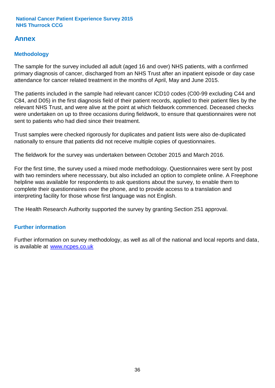# **Annex**

# **Methodology**

The sample for the survey included all adult (aged 16 and over) NHS patients, with a confirmed primary diagnosis of cancer, discharged from an NHS Trust after an inpatient episode or day case attendance for cancer related treatment in the months of April, May and June 2015.

The patients included in the sample had relevant cancer ICD10 codes (C00-99 excluding C44 and C84, and D05) in the first diagnosis field of their patient records, applied to their patient files by the relevant NHS Trust, and were alive at the point at which fieldwork commenced. Deceased checks were undertaken on up to three occasions during fieldwork, to ensure that questionnaires were not sent to patients who had died since their treatment.

Trust samples were checked rigorously for duplicates and patient lists were also de-duplicated nationally to ensure that patients did not receive multiple copies of questionnaires.

The fieldwork for the survey was undertaken between October 2015 and March 2016.

For the first time, the survey used a mixed mode methodology. Questionnaires were sent by post with two reminders where necesssary, but also included an option to complete online. A Freephone helpline was available for respondents to ask questions about the survey, to enable them to complete their questionnaires over the phone, and to provide access to a translation and interpreting facility for those whose first language was not English.

The Health Research Authority supported the survey by granting Section 251 approval.

# **Further information**

Further information on survey methodology, as well as all of the national and local reports and data, is available at www.ncpes.co.uk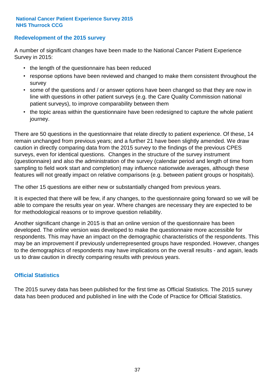### **Redevelopment of the 2015 survey**

A number of significant changes have been made to the National Cancer Patient Experience Survey in 2015:

- the length of the questionnaire has been reduced
- response options have been reviewed and changed to make them consistent throughout the survey
- some of the questions and / or answer options have been changed so that they are now in line with questions in other patient surveys (e.g. the Care Quality Commission national patient surveys), to improve comparability between them
- the topic areas within the questionnaire have been redesigned to capture the whole patient journey.

There are 50 questions in the questionnaire that relate directly to patient experience. Of these, 14 remain unchanged from previous years; and a further 21 have been slightly amended. We draw caution in directly comparing data from the 2015 survey to the findings of the previous CPES surveys, even for identical questions. Changes in the structure of the survey instrument (questionnaire) and also the administration of the survey (calendar period and length of time from sampling to field work start and completion) may influence nationwide averages, although these features will not greatly impact on relative comparisons (e.g. between patient groups or hospitals).

The other 15 questions are either new or substantially changed from previous years.

It is expected that there will be few, if any changes, to the questionnaire going forward so we will be able to compare the results year on year. Where changes are necessary they are expected to be for methodological reasons or to improve question reliability.

Another significant change in 2015 is that an online version of the questionnaire has been developed. The online version was developed to make the questionnaire more accessible for respondents. This may have an impact on the demographic characteristics of the respondents. This may be an improvement if previously underrepresented groups have responded. However, changes to the demographics of respondents may have implications on the overall results - and again, leads us to draw caution in directly comparing results with previous years.

### **Official Statistics**

The 2015 survey data has been published for the first time as Official Statistics. The 2015 survey data has been produced and published in line with the Code of Practice for Official Statistics.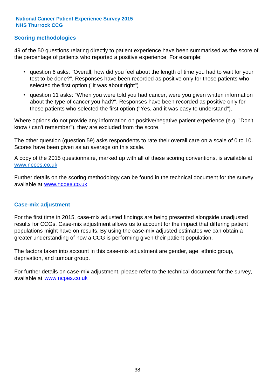### **Scoring methodologies**

49 of the 50 questions relating directly to patient experience have been summarised as the score of the percentage of patients who reported a positive experience. For example:

- question 6 asks: "Overall, how did you feel about the length of time you had to wait for your test to be done?". Responses have been recorded as positive only for those patients who selected the first option ("It was about right")
- question 11 asks: "When you were told you had cancer, were you given written information about the type of cancer you had?". Responses have been recorded as positive only for those patients who selected the first option ("Yes, and it was easy to understand").

Where options do not provide any information on positive/negative patient experience (e.g. "Don't know / can't remember"), they are excluded from the score.

The other question (question 59) asks respondents to rate their overall care on a scale of 0 to 10. Scores have been given as an average on this scale.

A copy of the 2015 questionnaire, marked up with all of these scoring conventions, is available at www.ncpes.co.uk

Further details on the scoring methodology can be found in the technical document for the survey, available at <u>www.ncpes.co.uk</u>

#### **Case-mix adjustment**

For the first time in 2015, case-mix adjusted findings are being presented alongside unadjusted results for CCGs. Case-mix adjustment allows us to account for the impact that differing patient populations might have on results. By using the case-mix adjusted estimates we can obtain a greater understanding of how a CCG is performing given their patient population.

The factors taken into account in this case-mix adjustment are gender, age, ethnic group, deprivation, and tumour group.

For further details on case-mix adjustment, please refer to the technical document for the survey, available at www.ncpes.co.uk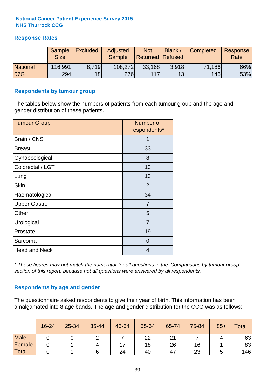### **Response Rates**

|                 | Sample<br><b>Size</b> | <b>Excluded</b> | Adjusted<br><b>Sample</b> | <b>Not</b><br><b>Returned Refused</b> | Blank / | Completed | Response<br>Rate |
|-----------------|-----------------------|-----------------|---------------------------|---------------------------------------|---------|-----------|------------------|
| <b>National</b> | 116,991               | 8.719           | 108,272                   | 33,168                                | 3.918   | 71,186    | 66%              |
| 07G             | 294                   | 18 <sup>1</sup> | <b>276</b>                | 117                                   | 13      | 146       | 53%              |

#### **Respondents by tumour group**

The tables below show the numbers of patients from each tumour group and the age and gender distribution of these patients.

| <b>Tumour Group</b>  | Number of<br>respondents* |
|----------------------|---------------------------|
| Brain / CNS          | 1                         |
| <b>Breast</b>        | 33                        |
| Gynaecological       | 8                         |
| Colorectal / LGT     | 13                        |
| Lung                 | 13                        |
| <b>Skin</b>          | 2                         |
| Haematological       | 34                        |
| <b>Upper Gastro</b>  | 7                         |
| Other                | 5                         |
| Urological           | $\overline{7}$            |
| Prostate             | 19                        |
| Sarcoma              | $\Omega$                  |
| <b>Head and Neck</b> | 4                         |

*\* These figures may not match the numerator for all questions in the 'Comparisons by tumour group' section of this report, because not all questions were answered by all respondents.*

### **Respondents by age and gender**

The questionnaire asked respondents to give their year of birth. This information has been amalgamated into 8 age bands. The age and gender distribution for the CCG was as follows:

|             | 16-24 | 25-34 | 35-44 | 45-54 | 55-64 | 65-74         | 75-84 | $85+$ | <b>Total</b> |
|-------------|-------|-------|-------|-------|-------|---------------|-------|-------|--------------|
| <b>Male</b> |       |       |       |       | 22    | $\Omega$<br>∠ |       |       | 63           |
| Female      |       |       |       |       | 18    | 26            | 16    |       | 83           |
| Total       |       |       |       | 24    | 40    | 47            | 23    |       | 146          |